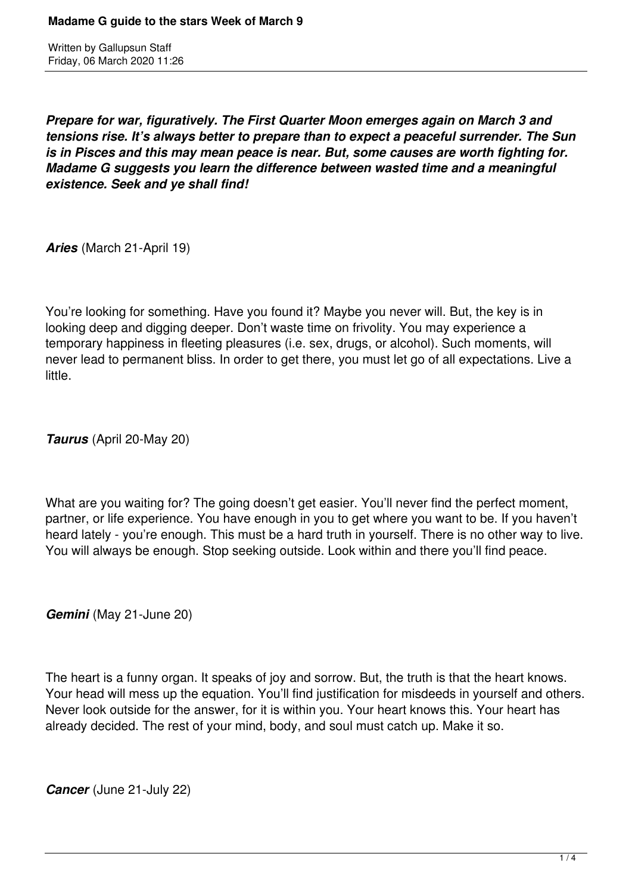Written by Gallupsun Staff Friday, 06 March 2020 11:26

*Prepare for war, figuratively. The First Quarter Moon emerges again on March 3 and tensions rise. It's always better to prepare than to expect a peaceful surrender. The Sun is in Pisces and this may mean peace is near. But, some causes are worth fighting for. Madame G suggests you learn the difference between wasted time and a meaningful existence. Seek and ye shall find!* 

*Aries* (March 21-April 19)

You're looking for something. Have you found it? Maybe you never will. But, the key is in looking deep and digging deeper. Don't waste time on frivolity. You may experience a temporary happiness in fleeting pleasures (i.e. sex, drugs, or alcohol). Such moments, will never lead to permanent bliss. In order to get there, you must let go of all expectations. Live a little.

*Taurus* (April 20-May 20)

What are you waiting for? The going doesn't get easier. You'll never find the perfect moment, partner, or life experience. You have enough in you to get where you want to be. If you haven't heard lately - you're enough. This must be a hard truth in yourself. There is no other way to live. You will always be enough. Stop seeking outside. Look within and there you'll find peace.

*Gemini* (May 21-June 20)

The heart is a funny organ. It speaks of joy and sorrow. But, the truth is that the heart knows. Your head will mess up the equation. You'll find justification for misdeeds in yourself and others. Never look outside for the answer, for it is within you. Your heart knows this. Your heart has already decided. The rest of your mind, body, and soul must catch up. Make it so.

*Cancer* (June 21-July 22)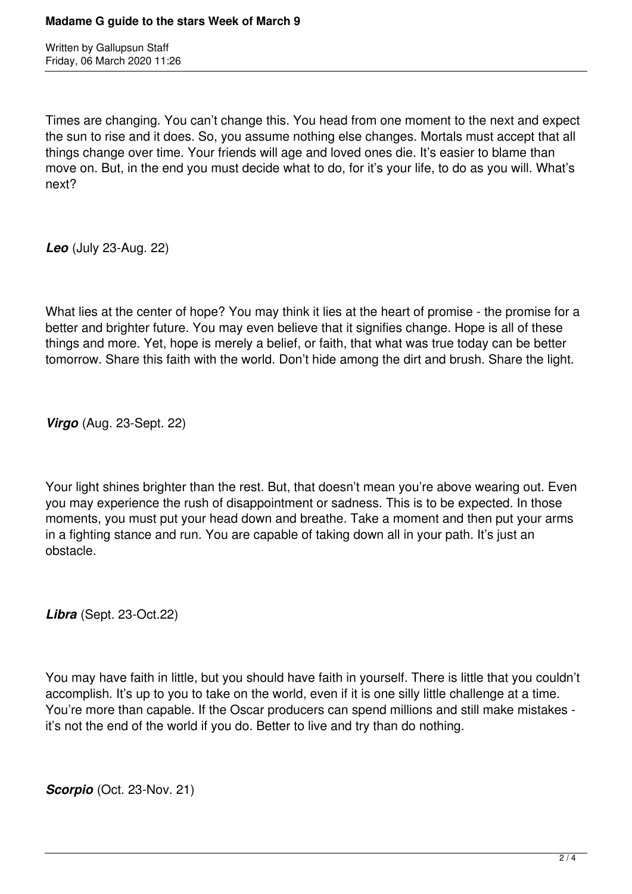Written by Gallupsun Staff Friday, 06 March 2020 11:26

Times are changing. You can't change this. You head from one moment to the next and expect the sun to rise and it does. So, you assume nothing else changes. Mortals must accept that all things change over time. Your friends will age and loved ones die. It's easier to blame than move on. But, in the end you must decide what to do, for it's your life, to do as you will. What's next?

*Leo* (July 23-Aug. 22)

What lies at the center of hope? You may think it lies at the heart of promise - the promise for a better and brighter future. You may even believe that it signifies change. Hope is all of these things and more. Yet, hope is merely a belief, or faith, that what was true today can be better tomorrow. Share this faith with the world. Don't hide among the dirt and brush. Share the light.

*Virgo* (Aug. 23-Sept. 22)

Your light shines brighter than the rest. But, that doesn't mean you're above wearing out. Even you may experience the rush of disappointment or sadness. This is to be expected. In those moments, you must put your head down and breathe. Take a moment and then put your arms in a fighting stance and run. You are capable of taking down all in your path. It's just an obstacle.

*Libra* (Sept. 23-Oct.22)

You may have faith in little, but you should have faith in yourself. There is little that you couldn't accomplish. It's up to you to take on the world, even if it is one silly little challenge at a time. You're more than capable. If the Oscar producers can spend millions and still make mistakes it's not the end of the world if you do. Better to live and try than do nothing.

*Scorpio* (Oct. 23-Nov. 21)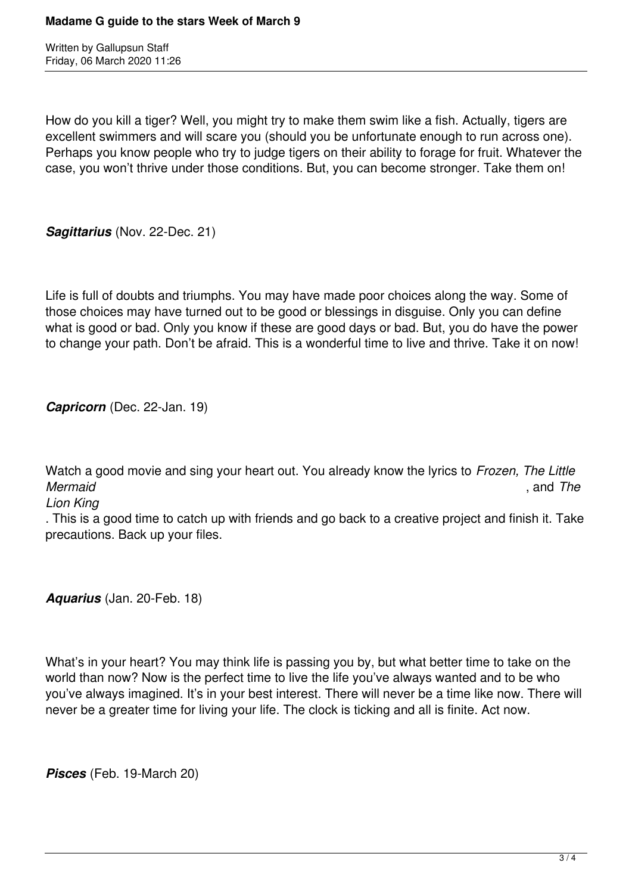Written by Gallupsun Staff Friday, 06 March 2020 11:26

How do you kill a tiger? Well, you might try to make them swim like a fish. Actually, tigers are excellent swimmers and will scare you (should you be unfortunate enough to run across one). Perhaps you know people who try to judge tigers on their ability to forage for fruit. Whatever the case, you won't thrive under those conditions. But, you can become stronger. Take them on!

*Sagittarius* (Nov. 22-Dec. 21)

Life is full of doubts and triumphs. You may have made poor choices along the way. Some of those choices may have turned out to be good or blessings in disguise. Only you can define what is good or bad. Only you know if these are good days or bad. But, you do have the power to change your path. Don't be afraid. This is a wonderful time to live and thrive. Take it on now!

*Capricorn* (Dec. 22-Jan. 19)

Watch a good movie and sing your heart out. You already know the lyrics to *Frozen, The Little Mermaid* , and *The*

*Lion King*

. This is a good time to catch up with friends and go back to a creative project and finish it. Take precautions. Back up your files.

*Aquarius* (Jan. 20-Feb. 18)

What's in your heart? You may think life is passing you by, but what better time to take on the world than now? Now is the perfect time to live the life you've always wanted and to be who you've always imagined. It's in your best interest. There will never be a time like now. There will never be a greater time for living your life. The clock is ticking and all is finite. Act now.

*Pisces* (Feb. 19-March 20)